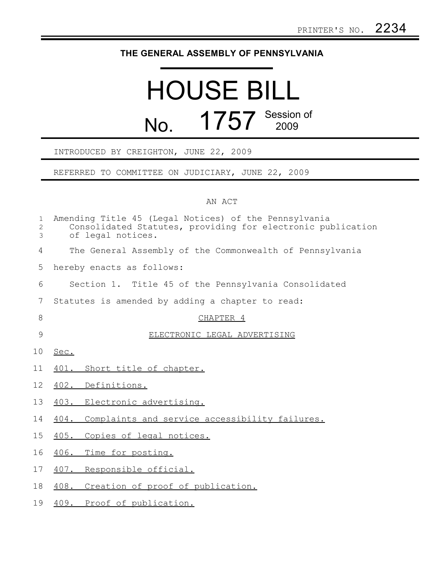## **THE GENERAL ASSEMBLY OF PENNSYLVANIA**

## HOUSE BILL No. 1757 Session of

## INTRODUCED BY CREIGHTON, JUNE 22, 2009

REFERRED TO COMMITTEE ON JUDICIARY, JUNE 22, 2009

## AN ACT

| $\mathbf 1$<br>$\overline{c}$<br>3 | Amending Title 45 (Legal Notices) of the Pennsylvania<br>Consolidated Statutes, providing for electronic publication<br>of legal notices. |
|------------------------------------|-------------------------------------------------------------------------------------------------------------------------------------------|
| 4                                  | The General Assembly of the Commonwealth of Pennsylvania                                                                                  |
| 5                                  | hereby enacts as follows:                                                                                                                 |
| 6                                  | Section 1. Title 45 of the Pennsylvania Consolidated                                                                                      |
| 7                                  | Statutes is amended by adding a chapter to read:                                                                                          |
| 8                                  | CHAPTER 4                                                                                                                                 |
| $\overline{9}$                     | ELECTRONIC LEGAL ADVERTISING                                                                                                              |
| 10                                 | Sec.                                                                                                                                      |
| 11                                 | 401. Short title of chapter.                                                                                                              |
| 12                                 | 402. Definitions.                                                                                                                         |
| 13                                 | 403. Electronic advertising.                                                                                                              |
| 14                                 | 404. Complaints and service accessibility failures.                                                                                       |
| 15                                 | 405.<br>Copies of legal notices.                                                                                                          |
| 16                                 | 406. Time for posting.                                                                                                                    |
| 17                                 | 407. Responsible official.                                                                                                                |
| 18                                 | 408. Creation of proof of publication.                                                                                                    |
| 19                                 | 409. Proof of publication.                                                                                                                |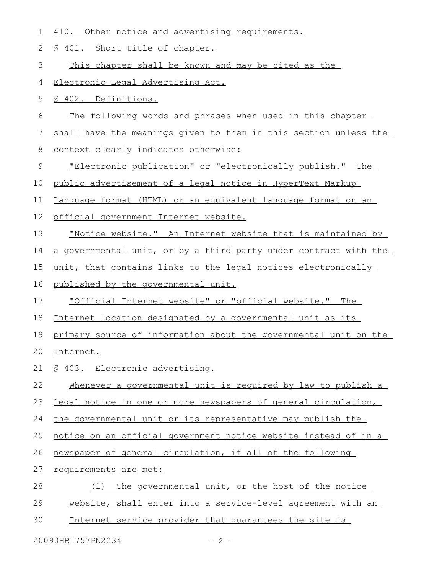| 1     | 410. Other notice and advertising requirements.                  |
|-------|------------------------------------------------------------------|
| 2     | § 401. Short title of chapter.                                   |
| 3     | This chapter shall be known and may be cited as the              |
| 4     | Electronic Legal Advertising Act.                                |
| 5     | § 402. Definitions.                                              |
| 6     | The following words and phrases when used in this chapter        |
| 7     | shall have the meanings given to them in this section unless the |
| $8\,$ | context clearly indicates otherwise:                             |
| 9     | "Electronic publication" or "electronically publish." The        |
| 10    | public advertisement of a legal notice in HyperText Markup       |
| 11    | Lanquage format (HTML) or an equivalent language format on an    |
| 12    | official government Internet website.                            |
| 13    | "Notice website." An Internet website that is maintained by      |
| 14    | a governmental unit, or by a third party under contract with the |
| 15    | unit, that contains links to the legal notices electronically    |
| 16    | published by the governmental unit.                              |
| 17    | <u>"Official Internet website" or "official website." The</u>    |
| 18    | Internet location designated by a governmental unit as its       |
| 19    | primary source of information about the governmental unit on the |
| 20    | Internet.                                                        |
| 21    | § 403. Electronic advertising.                                   |
| 22    | Whenever a governmental unit is required by law to publish a     |
| 23    | legal notice in one or more newspapers of general circulation,   |
| 24    | the governmental unit or its representative may publish the      |
| 25    | notice on an official government notice website instead of in a  |
| 26    | newspaper of general circulation, if all of the following        |
| 27    | requirements are met:                                            |
| 28    | The governmental unit, or the host of the notice<br>(1)          |
| 29    | website, shall enter into a service-level agreement with an      |
| 30    | Internet service provider that quarantees the site is            |

20090HB1757PN2234 - 2 -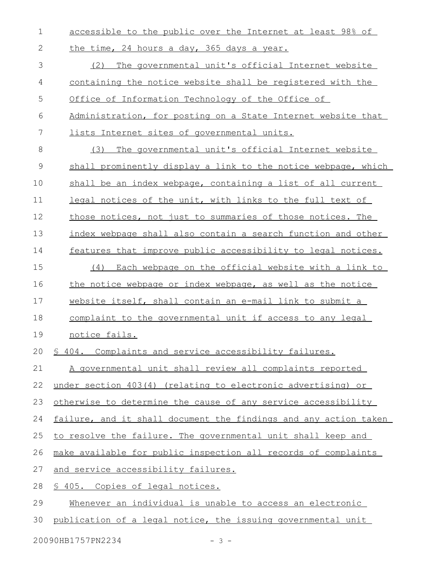accessible to the public over the Internet at least 98% of the time, 24 hours a day, 365 days a year. (2) The governmental unit's official Internet website containing the notice website shall be registered with the Office of Information Technology of the Office of Administration, for posting on a State Internet website that lists Internet sites of governmental units. (3) The governmental unit's official Internet website shall prominently display a link to the notice webpage, which shall be an index webpage, containing a list of all current legal notices of the unit, with links to the full text of those notices, not just to summaries of those notices. The index webpage shall also contain a search function and other features that improve public accessibility to legal notices. (4) Each webpage on the official website with a link to the notice webpage or index webpage, as well as the notice website itself, shall contain an e-mail link to submit a complaint to the governmental unit if access to any legal notice fails. § 404. Complaints and service accessibility failures. A governmental unit shall review all complaints reported under section 403(4) (relating to electronic advertising) or otherwise to determine the cause of any service accessibility failure, and it shall document the findings and any action taken to resolve the failure. The governmental unit shall keep and make available for public inspection all records of complaints and service accessibility failures. § 405. Copies of legal notices. Whenever an individual is unable to access an electronic publication of a legal notice, the issuing governmental unit 1 2 3 4 5 6 7 8 9 10 11 12 13 14 15 16 17 18 19 20 21 22 23 24 25 26 27 28 29 30

20090HB1757PN2234 - 3 -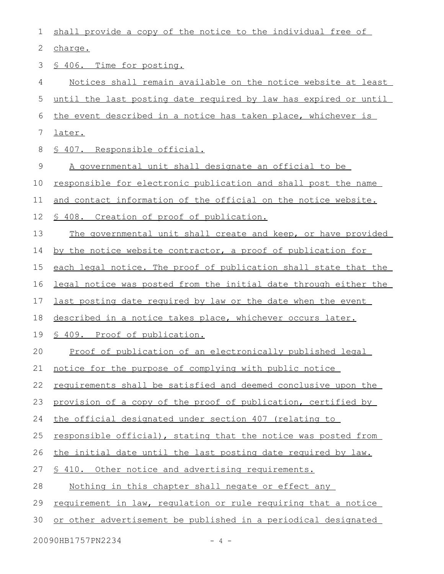| 1                          | shall provide a copy of the notice to the individual free of     |  |
|----------------------------|------------------------------------------------------------------|--|
| 2                          | charge.                                                          |  |
| 3                          | \$ 406. Time for posting.                                        |  |
| 4                          | Notices shall remain available on the notice website at least    |  |
| 5                          | until the last posting date required by law has expired or until |  |
| 6                          | the event described in a notice has taken place, whichever is    |  |
| 7                          | <u>later.</u>                                                    |  |
| 8                          | § 407. Responsible official.                                     |  |
| 9                          | A governmental unit shall designate an official to be            |  |
| 10                         | responsible for electronic publication and shall post the name   |  |
| 11                         | and contact information of the official on the notice website.   |  |
| 12                         | \$ 408. Creation of proof of publication.                        |  |
| 13                         | The governmental unit shall create and keep, or have provided    |  |
| 14                         | by the notice website contractor, a proof of publication for     |  |
| 15                         | each legal notice. The proof of publication shall state that the |  |
| 16                         | legal notice was posted from the initial date through either the |  |
| 17                         | last posting date required by law or the date when the event     |  |
| 18                         | described in a notice takes place, whichever occurs later.       |  |
| 19                         | § 409. Proof of publication.                                     |  |
| 20                         | Proof of publication of an electronically published legal        |  |
| 21                         | notice for the purpose of complying with public notice           |  |
| 22                         | requirements shall be satisfied and deemed conclusive upon the   |  |
| 23                         | provision of a copy of the proof of publication, certified by    |  |
| 24                         | the official designated under section 407 (relating to           |  |
| 25                         | responsible official), stating that the notice was posted from   |  |
| 26                         | the initial date until the last posting date required by law.    |  |
| 27                         | \$ 410. Other notice and advertising requirements.               |  |
| 28                         | Nothing in this chapter shall negate or effect any               |  |
| 29                         | requirement in law, requlation or rule requiring that a notice   |  |
| 30                         | or other advertisement be published in a periodical designated   |  |
| 20090HB1757PN2234<br>- 4 - |                                                                  |  |